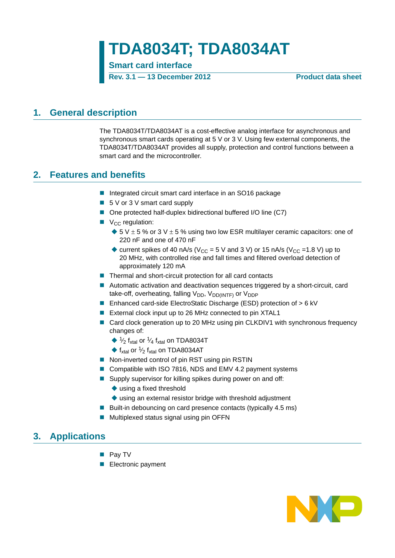**TDA8034T; TDA8034AT**

**Smart card interface**

**Rev. 3.1 — 13 December 2012 Product data sheet**

### <span id="page-0-0"></span>**1. General description**

The TDA8034T/TDA8034AT is a cost-effective analog interface for asynchronous and synchronous smart cards operating at 5 V or 3 V. Using few external components, the TDA8034T/TDA8034AT provides all supply, protection and control functions between a smart card and the microcontroller.

### <span id="page-0-1"></span>**2. Features and benefits**

- Integrated circuit smart card interface in an SO16 package
- 5 V or 3 V smart card supply
- One protected half-duplex bidirectional buffered I/O line (C7)
- $\blacksquare$  V<sub>CC</sub> regulation:
	- $\blacklozenge$  5 V  $\pm$  5 % or 3 V  $\pm$  5 % using two low ESR multilayer ceramic capacitors: one of 220 nF and one of 470 nF
	- $\bullet$  current spikes of 40 nA/s (V<sub>CC</sub> = 5 V and 3 V) or 15 nA/s (V<sub>CC</sub> = 1.8 V) up to 20 MHz, with controlled rise and fall times and filtered overload detection of approximately 120 mA
- Thermal and short-circuit protection for all card contacts
- Automatic activation and deactivation sequences triggered by a short-circuit, card take-off, overheating, falling  $V_{DD}$ ,  $V_{DD(INTER)}$  or  $V_{DDP}$
- Enhanced card-side ElectroStatic Discharge (ESD) protection of > 6 kV
- External clock input up to 26 MHz connected to pin XTAL1
- Card clock generation up to 20 MHz using pin CLKDIV1 with synchronous frequency changes of:
	- $\blacklozenge$  1/<sub>2</sub> f<sub>xtal</sub> on TDA8034T
	- $\blacklozenge$  f<sub>xtal</sub> on TDA8034AT
- Non-inverted control of pin RST using pin RSTIN
- Compatible with ISO 7816, NDS and EMV 4.2 payment systems
- Supply supervisor for killing spikes during power on and off:
	- ◆ using a fixed threshold
	- ◆ using an external resistor bridge with threshold adjustment
- Built-in debouncing on card presence contacts (typically  $4.5$  ms)
- Multiplexed status signal using pin OFFN

### <span id="page-0-2"></span>**3. Applications**

- **Pay TV**
- **Electronic payment**

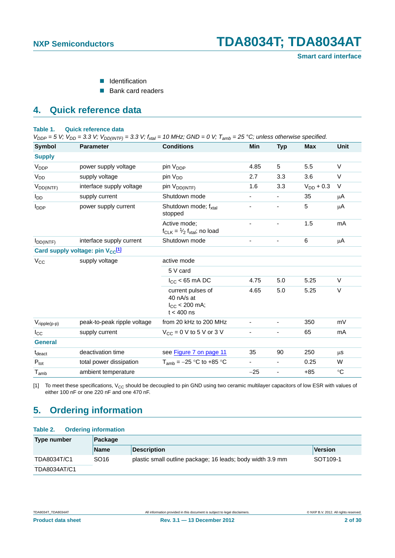- **I**I Identification
- Bank card readers

### <span id="page-1-3"></span>**4. Quick reference data**

#### <span id="page-1-2"></span>**Table 1. Quick reference data**

 $V_{DDP} = 5$  V;  $V_{DD} = 3.3$  V;  $V_{DD(INTER)} = 3.3$  V;  $f_{xtal} = 10$  MHz; GND = 0 V;  $T_{amb} = 25$  °C; unless otherwise specified.

| <b>Symbol</b>            | <b>Parameter</b>                             | <b>Conditions</b>                                                     | Min                      | <b>Typ</b>               | <b>Max</b>     | <b>Unit</b> |
|--------------------------|----------------------------------------------|-----------------------------------------------------------------------|--------------------------|--------------------------|----------------|-------------|
| <b>Supply</b>            |                                              |                                                                       |                          |                          |                |             |
| V <sub>DDP</sub>         | power supply voltage                         | pin V <sub>DDP</sub>                                                  | 4.85                     | 5                        | 5.5            | $\vee$      |
| V <sub>DD</sub>          | supply voltage                               | pin V <sub>DD</sub>                                                   | 2.7                      | 3.3                      | 3.6            | V           |
| $V_{DD(INTF)}$           | interface supply voltage                     | pin V <sub>DD(INTF)</sub>                                             | 1.6                      | 3.3                      | $V_{DD}$ + 0.3 | V           |
| l <sub>DD</sub>          | supply current                               | Shutdown mode                                                         |                          |                          | 35             | μA          |
| $I_{\text{DDP}}$         | power supply current                         | Shutdown mode; fxtal<br>stopped                                       |                          |                          | 5              | μA          |
|                          |                                              | Active mode:<br>$f_{CLK} = \frac{1}{2} f_{xtal}$ ; no load            |                          |                          | 1.5            | mA          |
| $I_{DD(INTF)}$           | interface supply current                     | Shutdown mode                                                         |                          |                          | $\,6\,$        | μA          |
|                          | Card supply voltage: pin V <sub>CC</sub> [1] |                                                                       |                          |                          |                |             |
| $V_{\rm CC}$             | supply voltage                               | active mode                                                           |                          |                          |                |             |
|                          |                                              | 5 V card                                                              |                          |                          |                |             |
|                          |                                              | $I_{CC}$ < 65 mA DC                                                   | 4.75                     | 5.0                      | 5.25           | $\vee$      |
|                          |                                              | current pulses of<br>40 nA/s at<br>$I_{CC}$ < 200 mA;<br>$t < 400$ ns | 4.65                     | 5.0                      | 5.25           | $\vee$      |
| $V_{\text{ripple}(p-p)}$ | peak-to-peak ripple voltage                  | from 20 kHz to 200 MHz                                                |                          |                          | 350            | mV          |
| $_{\rm lcc}$             | supply current                               | $V_{CC}$ = 0 V to 5 V or 3 V                                          |                          |                          | 65             | mA          |
| <b>General</b>           |                                              |                                                                       |                          |                          |                |             |
| t <sub>deact</sub>       | deactivation time                            | see Figure 7 on page 11                                               | 35                       | 90                       | 250            | μS          |
| $P_{\text{tot}}$         | total power dissipation                      | $T_{amb} = -25$ °C to +85 °C                                          | $\overline{\phantom{a}}$ | $\overline{\phantom{a}}$ | 0.25           | W           |
| $T_{amb}$                | ambient temperature                          |                                                                       | $-25$                    | $\overline{\phantom{0}}$ | $+85$          | $^{\circ}C$ |

<span id="page-1-0"></span>[1] To meet these specifications,  $V_{CC}$  should be decoupled to pin GND using two ceramic multilayer capacitors of low ESR with values of either 100 nF or one 220 nF and one 470 nF.

## <span id="page-1-4"></span>**5. Ordering information**

### <span id="page-1-1"></span>**Table 2. Ordering information Type number Package Name Description Version** TDA8034T/C1 SO16 plastic small outline package; 16 leads; body width 3.9 mm SOT109-1 TDA8034AT/C1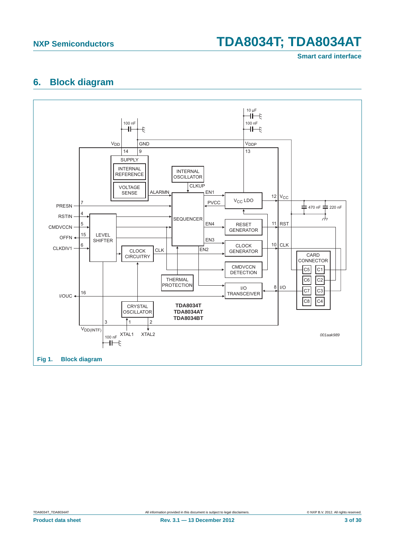**Smart card interface**

### <span id="page-2-1"></span>**6. Block diagram**



<span id="page-2-0"></span>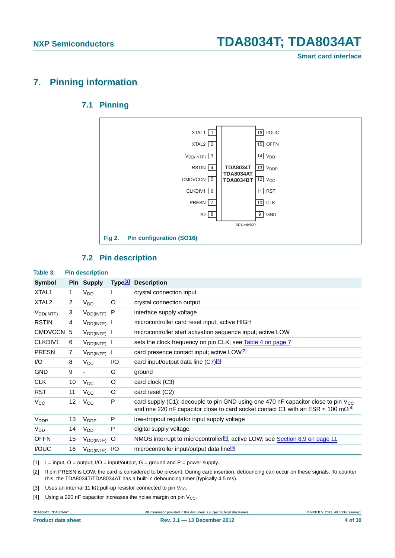**Smart card interface**

### <span id="page-3-7"></span><span id="page-3-6"></span>**7. Pinning information**

### **7.1 Pinning**



### <span id="page-3-5"></span>**7.2 Pin description**

<span id="page-3-8"></span><span id="page-3-4"></span>

| Table 3.               |                | <b>Pin description</b>   |                     |                                                                                                                                                                                       |
|------------------------|----------------|--------------------------|---------------------|---------------------------------------------------------------------------------------------------------------------------------------------------------------------------------------|
| <b>Symbol</b>          |                | Pin Supply               | Type <sup>[1]</sup> | <b>Description</b>                                                                                                                                                                    |
| XTAL1                  | 1              | V <sub>DD</sub>          |                     | crystal connection input                                                                                                                                                              |
| XTAL <sub>2</sub>      | $\overline{2}$ | V <sub>DD</sub>          | O                   | crystal connection output                                                                                                                                                             |
| $V_{DD(INTF)}$         | 3              | $V_{DD(INTF)}$           | P                   | interface supply voltage                                                                                                                                                              |
| <b>RSTIN</b>           | 4              | $V_{DD(INTF)}$ I         |                     | microcontroller card reset input; active HIGH                                                                                                                                         |
| CMDVCCN 5              |                | $V_{DD(INTF)}$           |                     | microcontroller start activation sequence input; active LOW                                                                                                                           |
| CLKDIV1                | 6              | $V_{DD(INTF)}$ 1         |                     | sets the clock frequency on pin CLK; see Table 4 on page 7                                                                                                                            |
| <b>PRESN</b>           | 7              | $V_{DD(INTF)}$           |                     | card presence contact input; active LOW <sup>[2]</sup>                                                                                                                                |
| I/O                    | 8              | $V_{\rm CC}$             | I/O                 | card input/output data line (C7) <sup>[3]</sup>                                                                                                                                       |
| <b>GND</b>             | 9              | $\overline{\phantom{a}}$ | G                   | ground                                                                                                                                                                                |
| <b>CLK</b>             | 10             | $V_{\rm CC}$             | O                   | card clock (C3)                                                                                                                                                                       |
| <b>RST</b>             | 11             | $V_{\rm CC}$             | O                   | card reset (C2)                                                                                                                                                                       |
| $V_{\rm CC}$           | 12             | $V_{\rm CC}$             | P                   | card supply (C1); decouple to pin GND using one 470 nF capacitor close to pin $V_{CC}$<br>and one 220 nF capacitor close to card socket contact C1 with an ESR < 100 m $\Omega^{[4]}$ |
| <b>V<sub>DDP</sub></b> | 13             | $V_{\text{DDP}}$         | P                   | low-dropout regulator input supply voltage                                                                                                                                            |
| $V_{DD}$               | 14             | $V_{DD}$                 | P                   | digital supply voltage                                                                                                                                                                |
| <b>OFFN</b>            | 15             | $V_{DD(INTF)}$           | $\circ$             | NMOS interrupt to microcontroller <sup>[5]</sup> ; active LOW; see Section 8.9 on page 11                                                                                             |
| I/OUC                  | 16             | $V_{DD(INTF)}$           | 1/O                 | microcontroller input/output data line <sup>[6]</sup>                                                                                                                                 |

<span id="page-3-0"></span> $[1]$   $I = input$ ,  $O = output$ ,  $I/O = input/output$ ,  $G = ground$  and  $P = power$  supply.

<span id="page-3-1"></span>[2] If pin PRESN is LOW, the card is considered to be present. During card insertion, debouncing can occur on these signals. To counter this, the TDA8034T/TDA8034AT has a built-in debouncing timer (typically 4.5 ms).

<span id="page-3-2"></span>[3] Uses an internal 11 k $\Omega$  pull-up resistor connected to pin V<sub>CC</sub>.

<span id="page-3-3"></span>[4] Using a 220 nF capacitor increases the noise margin on pin  $V_{CC}$ .

TDA8034T\_TDA8034AT All information provided in this document is subject to legal disclaimers. © NXP B.V. 2012. All rights reserved.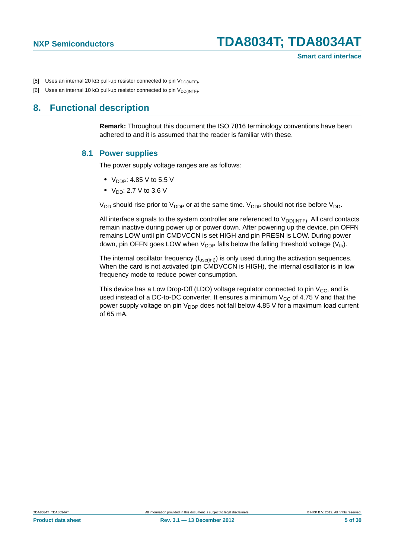- <span id="page-4-0"></span>[5] Uses an internal 20 k $\Omega$  pull-up resistor connected to pin  $V_{DD(|NTF)}$ .
- <span id="page-4-1"></span>[6] Uses an internal 10 k $\Omega$  pull-up resistor connected to pin  $V_{DD(|NTF)}$ .

### <span id="page-4-3"></span><span id="page-4-2"></span>**8. Functional description**

**Remark:** Throughout this document the ISO 7816 terminology conventions have been adhered to and it is assumed that the reader is familiar with these.

#### **8.1 Power supplies**

The power supply voltage ranges are as follows:

- $V_{\text{DDP}}$ : 4.85 V to 5.5 V
- $V_{DD}$ : 2.7 V to 3.6 V

 $V_{DD}$  should rise prior to  $V_{DDP}$  or at the same time.  $V_{DDP}$  should not rise before  $V_{DD}$ .

All interface signals to the system controller are referenced to  $V_{DD(INTF)}$ . All card contacts remain inactive during power up or power down. After powering up the device, pin OFFN remains LOW until pin CMDVCCN is set HIGH and pin PRESN is LOW. During power down, pin OFFN goes LOW when  $V_{DDP}$  falls below the falling threshold voltage ( $V_{th}$ ).

The internal oscillator frequency  $(f_{osc(int)})$  is only used during the activation sequences. When the card is not activated (pin CMDVCCN is HIGH), the internal oscillator is in low frequency mode to reduce power consumption.

This device has a Low Drop-Off (LDO) voltage regulator connected to pin  $V_{CC}$ , and is used instead of a DC-to-DC converter. It ensures a minimum  $V_{CC}$  of 4.75 V and that the power supply voltage on pin  $V_{\text{DDP}}$  does not fall below 4.85 V for a maximum load current of 65 mA.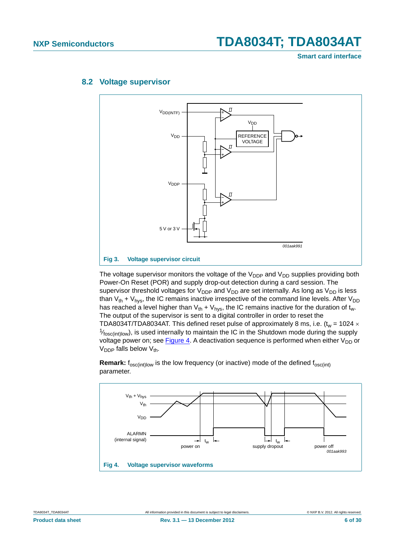**Smart card interface**



### <span id="page-5-2"></span>**8.2 Voltage supervisor**

<span id="page-5-1"></span>The voltage supervisor monitors the voltage of the  $V_{DDP}$  and  $V_{DD}$  supplies providing both Power-On Reset (POR) and supply drop-out detection during a card session. The supervisor threshold voltages for  $V_{DDP}$  and  $V_{DD}$  are set internally. As long as  $V_{DD}$  is less than  $V_{th}$  +  $V_{hys}$ , the IC remains inactive irrespective of the command line levels. After  $V_{DD}$ has reached a level higher than  $V_{th} + V_{hys}$ , the IC remains inactive for the duration of t<sub>w</sub>. The output of the supervisor is sent to a digital controller in order to reset the TDA8034T/TDA8034AT. This defined reset pulse of approximately 8 ms, i.e.  $(t_w = 1024 \times$  $\frac{1}{\text{K}}$ <sub>osc(int)low</sub>), is used internally to maintain the IC in the Shutdown mode during the supply voltage power on; see [Figure 4](#page-5-0). A deactivation sequence is performed when either  $V_{DD}$  or  $V_{\text{DDP}}$  falls below  $V_{\text{th}}$ .

<span id="page-5-0"></span>

**Remark:**  $f_{\text{osc(int)low}}$  is the low frequency (or inactive) mode of the defined  $f_{\text{osc(int)}}$ parameter.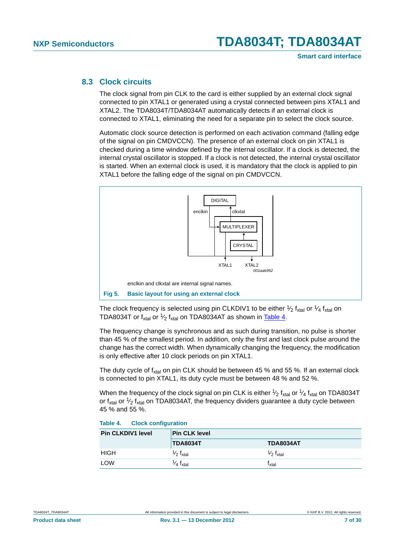### <span id="page-6-2"></span>**8.3 Clock circuits**

The clock signal from pin CLK to the card is either supplied by an external clock signal connected to pin XTAL1 or generated using a crystal connected between pins XTAL1 and XTAL2. The TDA8034T/TDA8034AT automatically detects if an external clock is connected to XTAL1, eliminating the need for a separate pin to select the clock source.

Automatic clock source detection is performed on each activation command (falling edge of the signal on pin CMDVCCN). The presence of an external clock on pin XTAL1 is checked during a time window defined by the internal oscillator. If a clock is detected, the internal crystal oscillator is stopped. If a clock is not detected, the internal crystal oscillator is started. When an external clock is used, it is mandatory that the clock is applied to pin XTAL1 before the falling edge of the signal on pin CMDVCCN.



<span id="page-6-1"></span>The clock frequency is selected using pin CLKDIV1 to be either  $\frac{1}{2}$  f<sub>xtal</sub> or  $\frac{1}{4}$  f<sub>xtal</sub> on TDA8034T or f<sub>xtal</sub> or  $\frac{1}{2}$  f<sub>xtal</sub> on TDA8034AT as shown in [Table 4](#page-6-0).

The frequency change is synchronous and as such during transition, no pulse is shorter than 45 % of the smallest period. In addition, only the first and last clock pulse around the change has the correct width. When dynamically changing the frequency, the modification is only effective after 10 clock periods on pin XTAL1.

The duty cycle of  $f_{xtal}$  on pin CLK should be between 45 % and 55 %. If an external clock is connected to pin XTAL1, its duty cycle must be between 48 % and 52 %.

When the frequency of the clock signal on pin CLK is either  $\frac{1}{2} f_{xtal}$  or  $\frac{1}{4} f_{xtal}$  on TDA8034T or  $f_{xtal}$  or  $\frac{1}{2}$   $f_{xtal}$  on TDA8034AT, the frequency dividers guarantee a duty cycle between 45 % and 55 %.

<span id="page-6-0"></span>

| Table 4. |  | <b>Clock configuration</b> |
|----------|--|----------------------------|
|          |  |                            |

| <b>Pin CLKDIV1 level</b> | <b>Pin CLK level</b>              |                                 |  |  |  |
|--------------------------|-----------------------------------|---------------------------------|--|--|--|
|                          | <b>TDA8034T</b>                   | <b>TDA8034AT</b>                |  |  |  |
| <b>HIGH</b>              | $\frac{1}{2}$ f <sub>xtal</sub>   | $\frac{1}{2}$ f <sub>xtal</sub> |  |  |  |
| LOW                      | 1⁄ <sub>4</sub> f <sub>xtal</sub> | 「xtal                           |  |  |  |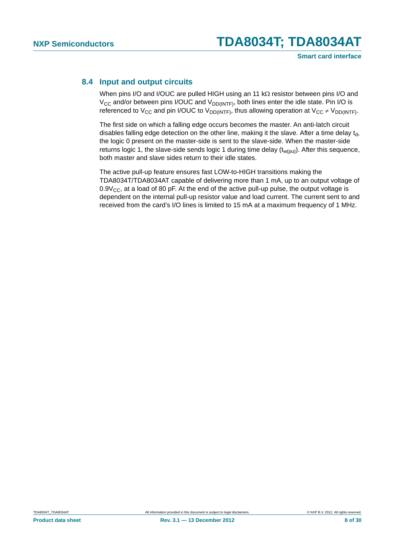### <span id="page-7-0"></span>**8.4 Input and output circuits**

When pins I/O and I/OUC are pulled HIGH using an 11  $k\Omega$  resistor between pins I/O and  $V_{CC}$  and/or between pins I/OUC and  $V_{DD(INTER)}$ , both lines enter the idle state. Pin I/O is referenced to V<sub>CC</sub> and pin I/OUC to V<sub>DD(INTF)</sub>, thus allowing operation at V<sub>CC</sub>  $\neq$  V<sub>DD(INTF)</sub>.

The first side on which a falling edge occurs becomes the master. An anti-latch circuit disables falling edge detection on the other line, making it the slave. After a time delay  $t_{\rm d}$ , the logic 0 present on the master-side is sent to the slave-side. When the master-side returns logic 1, the slave-side sends logic 1 during time delay  $(t_{w(pu)})$ . After this sequence, both master and slave sides return to their idle states.

The active pull-up feature ensures fast LOW-to-HIGH transitions making the TDA8034T/TDA8034AT capable of delivering more than 1 mA, up to an output voltage of  $0.9V_{CC}$ , at a load of 80 pF. At the end of the active pull-up pulse, the output voltage is dependent on the internal pull-up resistor value and load current. The current sent to and received from the card's I/O lines is limited to 15 mA at a maximum frequency of 1 MHz.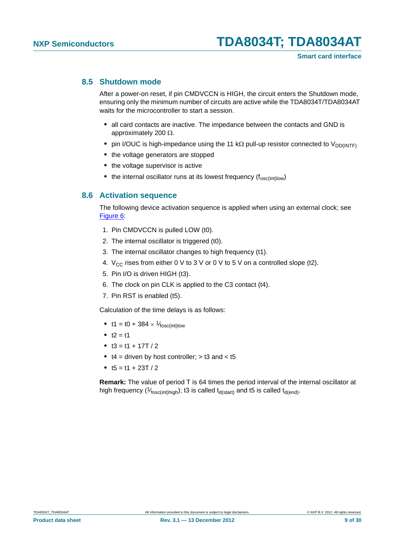### <span id="page-8-0"></span>**8.5 Shutdown mode**

After a power-on reset, if pin CMDVCCN is HIGH, the circuit enters the Shutdown mode, ensuring only the minimum number of circuits are active while the TDA8034T/TDA8034AT waits for the microcontroller to start a session.

- **•** all card contacts are inactive. The impedance between the contacts and GND is approximately 200  $\Omega$ .
- pin I/OUC is high-impedance using the 11 k $\Omega$  pull-up resistor connected to V<sub>DD(INTF)</sub>
- **•** the voltage generators are stopped
- the voltage supervisor is active
- the internal oscillator runs at its lowest frequency (f<sub>osc(int)low</sub>)

#### <span id="page-8-1"></span>**8.6 Activation sequence**

The following device activation sequence is applied when using an external clock; see [Figure 6:](#page-9-0)

- 1. Pin CMDVCCN is pulled LOW (t0).
- 2. The internal oscillator is triggered (t0).
- 3. The internal oscillator changes to high frequency (t1).
- 4.  $V_{CC}$  rises from either 0 V to 3 V or 0 V to 5 V on a controlled slope (t2).
- 5. Pin I/O is driven HIGH (t3).
- 6. The clock on pin CLK is applied to the C3 contact (t4).
- 7. Pin RST is enabled (t5).

Calculation of the time delays is as follows:

- t1 = t0 + 384  $\times$  <sup>1</sup>/<sub>fosc(int)low</sub>
- $t2 = t1$
- $t3 = t1 + 17T/2$
- **•** t4 = driven by host controller; > t3 and < t5
- $t5 = t1 + 23T/2$

**Remark:** The value of period T is 64 times the period interval of the internal oscillator at high frequency ( $\frac{1}{f_{\text{fosc(int)high}}}$ ); t3 is called t<sub>d(start)</sub> and t5 is called t<sub>d(end)</sub>.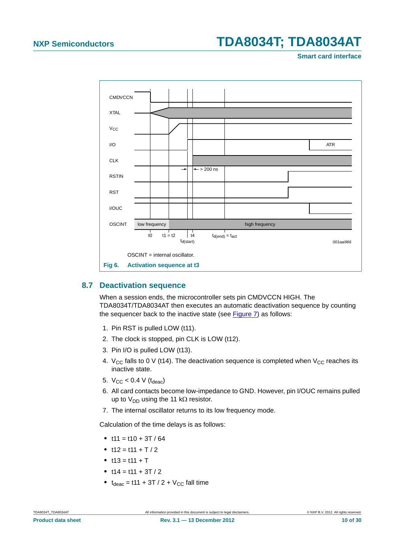**Smart card interface**



### <span id="page-9-1"></span><span id="page-9-0"></span>**8.7 Deactivation sequence**

When a session ends, the microcontroller sets pin CMDVCCN HIGH. The TDA8034T/TDA8034AT then executes an automatic deactivation sequence by counting the sequencer back to the inactive state (see [Figure 7\)](#page-10-0) as follows:

- 1. Pin RST is pulled LOW (t11).
- 2. The clock is stopped, pin CLK is LOW (t12).
- 3. Pin I/O is pulled LOW (t13).
- 4.  $V_{CC}$  falls to 0 V (t14). The deactivation sequence is completed when  $V_{CC}$  reaches its inactive state.
- 5.  $V_{CC}$  < 0.4 V ( $t_{deac}$ )
- 6. All card contacts become low-impedance to GND. However, pin I/OUC remains pulled up to  $V_{DD}$  using the 11 k $\Omega$  resistor.
- 7. The internal oscillator returns to its low frequency mode.

Calculation of the time delays is as follows:

- $t11 = t10 + 3T / 64$
- $t12 = t11 + T/2$
- $t13 = t11 + T$
- $t14 = t11 + 3T / 2$
- $t_{deac} = t11 + 3T / 2 + V_{CC}$  fall time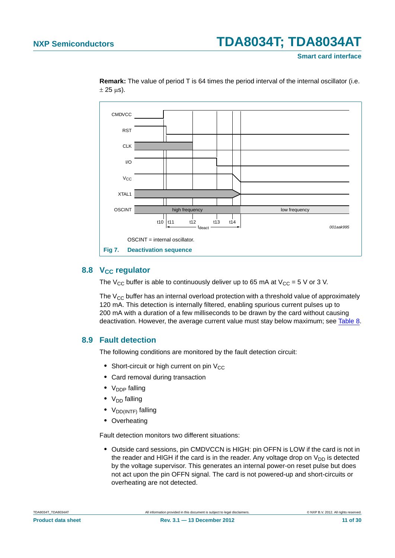**Smart card interface**



**Remark:** The value of period T is 64 times the period interval of the internal oscillator (i.e.  $\pm$  25 µs).

### <span id="page-10-2"></span><span id="page-10-0"></span>8.8 V<sub>CC</sub> regulator

The V<sub>CC</sub> buffer is able to continuously deliver up to 65 mA at V<sub>CC</sub> = 5 V or 3 V.

The  $V_{CC}$  buffer has an internal overload protection with a threshold value of approximately 120 mA. This detection is internally filtered, enabling spurious current pulses up to 200 mA with a duration of a few milliseconds to be drawn by the card without causing deactivation. However, the average current value must stay below maximum; see [Table 8](#page-18-0).

### <span id="page-10-1"></span>**8.9 Fault detection**

The following conditions are monitored by the fault detection circuit:

- Short-circuit or high current on pin V<sub>CC</sub>
- **•** Card removal during transaction
- V<sub>DDP</sub> falling
- V<sub>DD</sub> falling
- V<sub>DD(INTF)</sub> falling
- **•** Overheating

Fault detection monitors two different situations:

**•** Outside card sessions, pin CMDVCCN is HIGH: pin OFFN is LOW if the card is not in the reader and HIGH if the card is in the reader. Any voltage drop on  $V_{DD}$  is detected by the voltage supervisor. This generates an internal power-on reset pulse but does not act upon the pin OFFN signal. The card is not powered-up and short-circuits or overheating are not detected.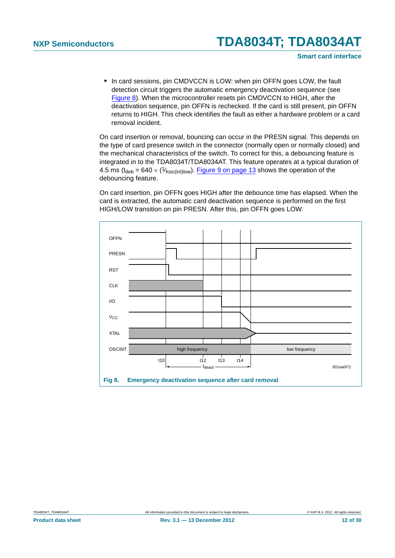**•** In card sessions, pin CMDVCCN is LOW: when pin OFFN goes LOW, the fault detection circuit triggers the automatic emergency deactivation sequence (see [Figure 8\)](#page-11-0). When the microcontroller resets pin CMDVCCN to HIGH, after the deactivation sequence, pin OFFN is rechecked. If the card is still present, pin OFFN returns to HIGH. This check identifies the fault as either a hardware problem or a card removal incident.

On card insertion or removal, bouncing can occur in the PRESN signal. This depends on the type of card presence switch in the connector (normally open or normally closed) and the mechanical characteristics of the switch. To correct for this, a debouncing feature is integrated in to the TDA8034T/TDA8034AT. This feature operates at a typical duration of 4.5 ms ( $t_{\text{deb}} = 640 \times (1/\text{fose}(\text{int})/\text{low})$ . [Figure 9 on page 13](#page-12-0) shows the operation of the debouncing feature.

On card insertion, pin OFFN goes HIGH after the debounce time has elapsed. When the card is extracted, the automatic card deactivation sequence is performed on the first HIGH/LOW transition on pin PRESN. After this, pin OFFN goes LOW.



<span id="page-11-0"></span>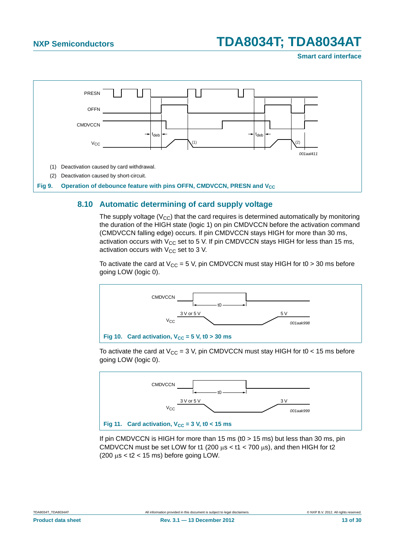**Smart card interface**



### <span id="page-12-3"></span><span id="page-12-0"></span>**8.10 Automatic determining of card supply voltage**

The supply voltage  $(V_{CC})$  that the card requires is determined automatically by monitoring the duration of the HIGH state (logic 1) on pin CMDVCCN before the activation command (CMDVCCN falling edge) occurs. If pin CMDVCCN stays HIGH for more than 30 ms, activation occurs with  $V_{CC}$  set to 5 V. If pin CMDVCCN stays HIGH for less than 15 ms, activation occurs with  $V_{CC}$  set to 3 V.

To activate the card at  $V_{CC} = 5$  V, pin CMDVCCN must stay HIGH for t0 > 30 ms before going LOW (logic 0).



<span id="page-12-1"></span>To activate the card at  $V_{CC}$  = 3 V, pin CMDVCCN must stay HIGH for t0 < 15 ms before going LOW (logic 0).



<span id="page-12-2"></span>If pin CMDVCCN is HIGH for more than 15 ms (t0  $>$  15 ms) but less than 30 ms, pin CMDVCCN must be set LOW for t1 (200  $\mu$ s < t1 < 700  $\mu$ s), and then HIGH for t2  $(200 \mu s <$  t2 < 15 ms) before going LOW.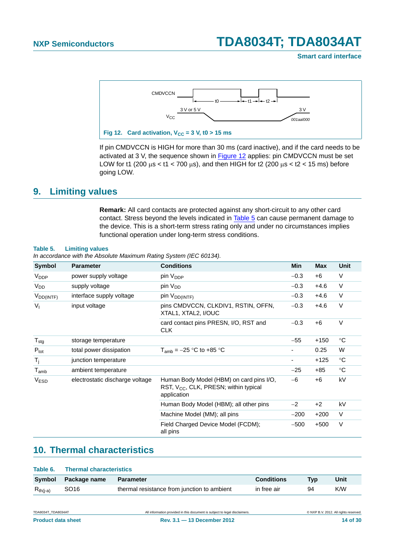#### **Smart card interface**



<span id="page-13-0"></span>If pin CMDVCCN is HIGH for more than 30 ms (card inactive), and if the card needs to be activated at 3 V, the sequence shown in [Figure 12](#page-13-0) applies: pin CMDVCCN must be set LOW for t1 (200  $\mu$ s < t1 < 700  $\mu$ s), and then HIGH for t2 (200  $\mu$ s < t2 < 15 ms) before going LOW.

### <span id="page-13-3"></span>**9. Limiting values**

**Remark:** All card contacts are protected against any short-circuit to any other card contact. Stress beyond the levels indicated in [Table 5](#page-13-1) can cause permanent damage to the device. This is a short-term stress rating only and under no circumstances implies functional operation under long-term stress conditions.

#### <span id="page-13-1"></span>**Table 5. Limiting values**

*In accordance with the Absolute Maximum Rating System (IEC 60134).*

| Symbol                      | <b>Parameter</b>                | <b>Conditions</b>                                                                                     | Min    | <b>Max</b> | <b>Unit</b> |
|-----------------------------|---------------------------------|-------------------------------------------------------------------------------------------------------|--------|------------|-------------|
| V <sub>DDP</sub>            | power supply voltage            | pin V <sub>DDP</sub>                                                                                  | $-0.3$ | $+6$       | V           |
| <b>V<sub>DD</sub></b>       | supply voltage                  | pin V <sub>DD</sub>                                                                                   | $-0.3$ | $+4.6$     | $\vee$      |
| $V_{DD(INTF)}$              | interface supply voltage        | pin V <sub>DD(INTF)</sub>                                                                             | $-0.3$ | $+4.6$     | $\vee$      |
| $V_{I}$                     | input voltage                   | pins CMDVCCN, CLKDIV1, RSTIN, OFFN,<br>XTAL1, XTAL2, I/OUC                                            | $-0.3$ | $+4.6$     | $\vee$      |
|                             |                                 | card contact pins PRESN, I/O, RST and<br><b>CLK</b>                                                   | $-0.3$ | +6         | $\vee$      |
| ${\mathsf T}_{\text{stg}}$  | storage temperature             |                                                                                                       | $-55$  | $+150$     | $^{\circ}C$ |
| $P_{\text{tot}}$            | total power dissipation         | $T_{amb} = -25$ °C to +85 °C                                                                          |        | 0.25       | W           |
| $T_i$                       | junction temperature            |                                                                                                       |        | +125       | $^{\circ}C$ |
| $\mathsf{T}_{\mathsf{amb}}$ | ambient temperature             |                                                                                                       | $-25$  | $+85$      | $^{\circ}C$ |
| <b>VESD</b>                 | electrostatic discharge voltage | Human Body Model (HBM) on card pins I/O,<br>RST, $V_{CC}$ , CLK, PRESN; within typical<br>application | $-6$   | $+6$       | kV          |
|                             |                                 | Human Body Model (HBM); all other pins                                                                | $-2$   | $+2$       | kV          |
|                             |                                 | Machine Model (MM); all pins                                                                          | $-200$ | $+200$     | V           |
|                             |                                 | Field Charged Device Model (FCDM);<br>all pins                                                        | $-500$ | $+500$     | $\vee$      |

### <span id="page-13-4"></span>**10. Thermal characteristics**

<span id="page-13-2"></span>

| Table 6.      | <b>Thermal characteristics</b> |                                             |                   |     |      |  |  |  |
|---------------|--------------------------------|---------------------------------------------|-------------------|-----|------|--|--|--|
|               | Symbol Package name            | <b>Parameter</b>                            | <b>Conditions</b> | Typ | Unit |  |  |  |
| $R_{th(i-a)}$ | SO16                           | thermal resistance from junction to ambient | in free air       | 94  | K/W  |  |  |  |

TDA8034T TDA8034AT **All information provided in this document is subject to legal disclaimers.** © NXP B.V. 2012. All rights reserved.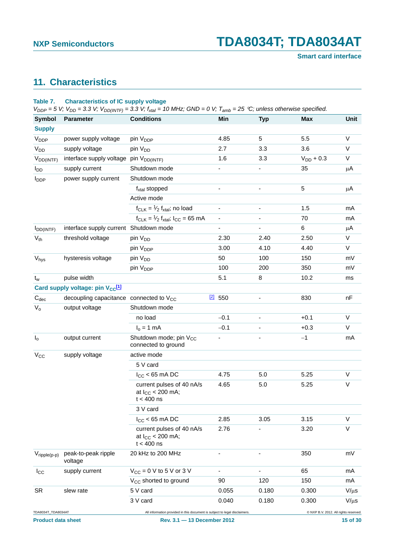**Smart card interface**

## <span id="page-14-1"></span>**11. Characteristics**

#### <span id="page-14-0"></span>**Table 7. Characteristics of IC supply voltage**

 $V_{DDP}$  = 5 V;  $V_{DD}$  = 3.3 V;  $V_{DD(INTER)}$  = 3.3 V;  $f_{xtal}$  = 10 MHz; GND = 0 V;  $T_{amb}$  = 25 °C; unless otherwise specified.

| <b>Symbol</b>                                   | -- ( <i> . )</i><br><b>Parameter</b>         | <b>Conditions</b>                                                                                         | Min                          | <b>Typ</b> | <b>Max</b>                            | <b>Unit</b>  |
|-------------------------------------------------|----------------------------------------------|-----------------------------------------------------------------------------------------------------------|------------------------------|------------|---------------------------------------|--------------|
| <b>Supply</b>                                   |                                              |                                                                                                           |                              |            |                                       |              |
| V <sub>DDP</sub>                                | power supply voltage                         | pin V <sub>DDP</sub>                                                                                      | 4.85                         | 5          | 5.5                                   | V            |
| V <sub>DD</sub>                                 | supply voltage                               | pin V <sub>DD</sub>                                                                                       | 2.7                          | 3.3        | 3.6                                   | $\vee$       |
| $V_{DD(INTF)}$                                  | interface supply voltage                     | pin V <sub>DD(INTF)</sub>                                                                                 | 1.6                          | 3.3        | $V_{DD}$ + 0.3                        | V            |
| $I_{DD}$                                        | supply current                               | Shutdown mode                                                                                             | $\qquad \qquad \blacksquare$ | ٠          | 35                                    | $\mu$ A      |
| <b>I</b> <sub>DDP</sub>                         | power supply current                         | Shutdown mode                                                                                             |                              |            |                                       |              |
|                                                 |                                              | $f_{\text{xtal}}$ stopped                                                                                 | $\qquad \qquad \blacksquare$ |            | 5                                     | μA           |
|                                                 |                                              | Active mode                                                                                               |                              |            |                                       |              |
|                                                 |                                              | $f_{CLK} = \frac{1}{2} f_{xtal}$ ; no load                                                                | $\qquad \qquad \blacksquare$ | ٠          | 1.5                                   | mA           |
|                                                 |                                              | $f_{CLK} = \frac{1}{2} f_{xtal}$ ; $I_{CC} = 65$ mA                                                       | $\blacksquare$               |            | 70                                    | mA           |
| $I_{DD(INTER)$                                  | interface supply current Shutdown mode       |                                                                                                           | $\overline{\phantom{0}}$     |            | 6                                     | μA           |
| $V_{th}$                                        | threshold voltage                            | pin V <sub>DD</sub>                                                                                       | 2.30                         | 2.40       | 2.50                                  | $\vee$       |
|                                                 |                                              | pin V <sub>DDP</sub>                                                                                      | 3.00                         | 4.10       | 4.40                                  | $\mathsf{V}$ |
| Vhys                                            | hysteresis voltage                           | pin V <sub>DD</sub>                                                                                       | 50                           | 100        | 150                                   | mV           |
|                                                 |                                              | pin V <sub>DDP</sub>                                                                                      | 100                          | 200        | 350                                   | mV           |
| $t_{w}$                                         | pulse width                                  |                                                                                                           | 5.1                          | 8          | 10.2                                  | ms           |
|                                                 | Card supply voltage: pin V <sub>CC</sub> [1] |                                                                                                           |                              |            |                                       |              |
| $C_{dec}$                                       | decoupling capacitance connected to $V_{CC}$ |                                                                                                           | $2$ 550                      |            | 830                                   | nF           |
| $V_{o}$                                         | output voltage                               | Shutdown mode                                                                                             |                              |            |                                       |              |
|                                                 |                                              | no load                                                                                                   | $-0.1$                       |            | $+0.1$                                | V            |
|                                                 |                                              | $I_0 = 1$ mA                                                                                              | $-0.1$                       |            | $+0.3$                                | V            |
| I <sub>o</sub>                                  | output current                               | Shutdown mode; pin V <sub>CC</sub><br>connected to ground                                                 |                              |            | $-1$                                  | mA           |
| $V_{CC}$                                        | supply voltage                               | active mode                                                                                               |                              |            |                                       |              |
|                                                 |                                              | 5 V card                                                                                                  |                              |            |                                       |              |
|                                                 |                                              | $I_{CC}$ < 65 mA DC                                                                                       | 4.75                         | 5.0        | 5.25                                  | $\vee$       |
|                                                 |                                              | current pulses of 40 nA/s<br>at $I_{CC}$ < 200 mA;<br>$t < 400$ ns                                        | 4.65                         | 5.0        | 5.25                                  | $\vee$       |
|                                                 |                                              | 3 V card                                                                                                  |                              |            |                                       |              |
|                                                 |                                              | $I_{CC}$ < 65 mA DC                                                                                       | 2.85                         | 3.05       | 3.15                                  | V            |
|                                                 |                                              | current pulses of 40 nA/s<br>at $I_{CC}$ < 200 mA;<br>$t < 400$ ns                                        | 2.76                         |            | 3.20                                  | $\vee$       |
| $V_{\text{ripple}(p-p)}$                        | peak-to-peak ripple<br>voltage               | 20 kHz to 200 MHz                                                                                         |                              |            | 350                                   | mV           |
| $I_{\rm CC}$                                    | supply current                               | $V_{CC}$ = 0 V to 5 V or 3 V                                                                              |                              |            | 65                                    | mA           |
|                                                 |                                              | V <sub>CC</sub> shorted to ground                                                                         | 90                           | 120        | 150                                   | mA           |
| <b>SR</b>                                       | slew rate                                    | 5 V card                                                                                                  | 0.055                        | 0.180      | 0.300                                 | $V/\mu s$    |
|                                                 |                                              | 3 V card                                                                                                  | 0.040                        | 0.180      | 0.300                                 | $V/\mu s$    |
| TDA8034T_TDA8034AT<br><b>Product data sheet</b> |                                              | All information provided in this document is subject to legal disclaimers.<br>Rev. 3.1 - 13 December 2012 |                              |            | @ NXP B.V. 2012. All rights reserved. | 15 of 30     |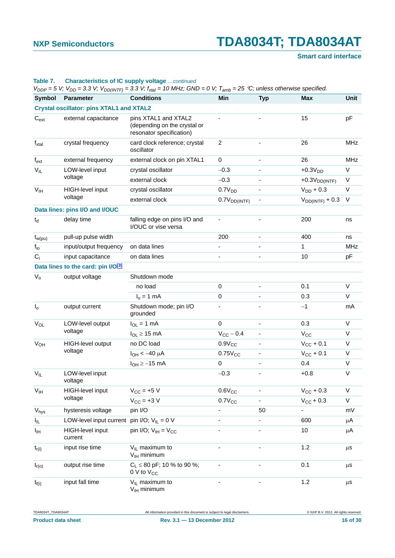### **Smart card interface**

|                            |                                                 | $V_{DDP} = 5$ V; $V_{DD} = 3.3$ V; $V_{DD(INTF)} = 3.3$ V; $f_{xtal} = 10$ MHz; GND = 0 V; $T_{amb} = 25$ °C; unless otherwise specified. |                              |                          |                       |             |
|----------------------------|-------------------------------------------------|-------------------------------------------------------------------------------------------------------------------------------------------|------------------------------|--------------------------|-----------------------|-------------|
| Symbol                     | Parameter                                       | <b>Conditions</b>                                                                                                                         | Min                          | <b>Typ</b>               | <b>Max</b>            | <b>Unit</b> |
|                            | <b>Crystal oscillator: pins XTAL1 and XTAL2</b> |                                                                                                                                           |                              |                          |                       |             |
| $C_{\text{ext}}$           | external capacitance                            | pins XTAL1 and XTAL2<br>(depending on the crystal or<br>resonator specification)                                                          |                              |                          | 15                    | pF          |
| $f_{xtal}$                 | crystal frequency                               | card clock reference; crystal<br>oscillator                                                                                               | $\overline{2}$               | $\overline{\phantom{a}}$ | 26                    | <b>MHz</b>  |
| $f_{ext}$                  | external frequency                              | external clock on pin XTAL1                                                                                                               | $\mathbf 0$                  |                          | 26                    | <b>MHz</b>  |
| $\mathsf{V}_{\mathsf{IL}}$ | LOW-level input                                 | crystal oscillator                                                                                                                        | $-0.3$                       |                          | $+0.3VDD$             | V           |
|                            | voltage                                         | external clock                                                                                                                            | $-0.3$                       |                          | $+0.3VDD(INTF)$       | V           |
| V <sub>IH</sub>            | HIGH-level input                                | crystal oscillator                                                                                                                        | 0.7V <sub>DD</sub>           |                          | $V_{DD}$ + 0.3        | V           |
|                            | voltage                                         | external clock                                                                                                                            | $0.7V_{DD(INTF)}$            |                          | $V_{DD(INTF)} + 0.3$  | $\vee$      |
|                            | Data lines: pins I/O and I/OUC                  |                                                                                                                                           |                              |                          |                       |             |
| $t_d$                      | delay time                                      | falling edge on pins I/O and<br>I/OUC or vise versa                                                                                       |                              |                          | 200                   | ns          |
| $t_{w(pu)}$                | pull-up pulse width                             |                                                                                                                                           | 200                          |                          | 400                   | ns          |
| $f_{io}$                   | input/output frequency                          | on data lines                                                                                                                             | $\qquad \qquad \blacksquare$ |                          | 1                     | <b>MHz</b>  |
| $C_i$                      | input capacitance                               | on data lines                                                                                                                             |                              |                          | 10                    | pF          |
|                            | Data lines to the card: pin I/O[3]              |                                                                                                                                           |                              |                          |                       |             |
| $V_{o}$                    | output voltage                                  | Shutdown mode                                                                                                                             |                              |                          |                       |             |
|                            |                                                 | no load                                                                                                                                   | $\mathbf 0$                  |                          | 0.1                   | $\vee$      |
|                            |                                                 | $I_0 = 1$ mA                                                                                                                              | 0                            |                          | 0.3                   | V           |
| $I_0$                      | output current                                  | Shutdown mode; pin I/O<br>grounded                                                                                                        |                              |                          | $-1$                  | mA          |
| $V_{OL}$                   | LOW-level output                                | $I_{OL}$ = 1 mA                                                                                                                           | $\mathbf 0$                  |                          | 0.3                   | $\vee$      |
|                            | voltage                                         | $I_{OL} \geq 15$ mA                                                                                                                       | $V_{CC}$ – 0.4               | $\overline{\phantom{a}}$ | $V_{CC}$              | $\vee$      |
| $V_{OH}$                   | HIGH-level output                               | no DC load                                                                                                                                | $0.9V_{CC}$                  |                          | $V_{CC}$ + 0.1        | V           |
|                            | voltage                                         | $I_{OH} < -40 \mu A$                                                                                                                      | $0.75V_{CC}$                 |                          | $V_{CC}$ + 0.1        | V           |
|                            |                                                 | $I_{OH} \ge -15$ mA                                                                                                                       | $\mathbf 0$                  |                          | 0.4                   | V           |
| $V_{IL}$                   | LOW-level input<br>voltage                      |                                                                                                                                           | $-0.3$                       |                          | $+0.8$                | V           |
| $\mathsf{V}_{\mathsf{IH}}$ | HIGH-level input                                | $V_{CC}$ = +5 V                                                                                                                           | $0.6V_{CC}$                  |                          | $V_{\text{CC}} + 0.3$ | $\vee$      |
|                            | voltage                                         | $V_{CC}$ = +3 V                                                                                                                           | $0.7V_{CC}$                  |                          | $V_{\text{CC}} + 0.3$ | V           |
| $\rm V_{hys}$              | hysteresis voltage                              | pin I/O                                                                                                                                   |                              | 50                       | ÷,                    | mV          |
| ΙL.                        | LOW-level input current                         | pin I/O; $V_{IL} = 0 V$                                                                                                                   | ٠                            |                          | 600                   | μA          |
| Iщ                         | <b>HIGH-level input</b><br>current              | pin I/O; $V_{IH} = V_{CC}$                                                                                                                |                              |                          | 10                    | μA          |
| $t_{r(i)}$                 | input rise time                                 | $V_{IL}$ maximum to<br>$V_{IH}$ minimum                                                                                                   | -                            |                          | 1.2                   | $\mu$ S     |
| $t_{r(o)}$                 | output rise time                                | $C_1 \leq 80$ pF; 10 % to 90 %;<br>$0 \vee$ to $V_{CC}$                                                                                   | ÷,                           | $\blacksquare$           | 0.1                   | μS          |
| $t_{f(i)}$                 | input fall time                                 | $V_{IL}$ maximum to<br>$V_{IH}$ minimum                                                                                                   |                              |                          | 1.2                   | $\mu$ s     |

#### **Table 7. Characteristics of IC supply voltage** *…continued*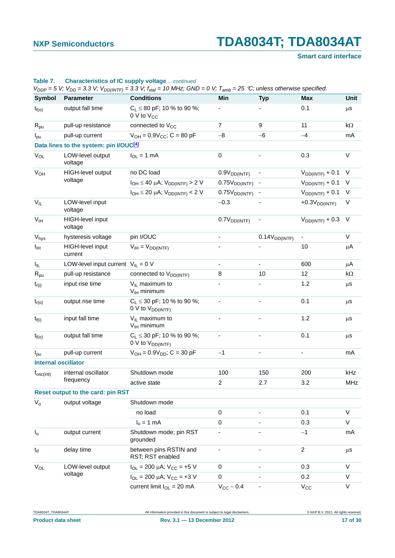### **Smart card interface**

|                            |                                                    | $V_{DDP} = 5$ V; $V_{DD} = 3.3$ V; $V_{DD(INTF)} = 3.3$ V; $f_{xtal} = 10$ MHz; GND = 0 V; $T_{amb} = 25$ °C; unless otherwise specified. |                              |                           |                      |             |
|----------------------------|----------------------------------------------------|-------------------------------------------------------------------------------------------------------------------------------------------|------------------------------|---------------------------|----------------------|-------------|
| <b>Symbol</b>              | <b>Parameter</b>                                   | <b>Conditions</b>                                                                                                                         | Min                          | <b>Typ</b>                | <b>Max</b>           | <b>Unit</b> |
| $t_{f(o)}$                 | output fall time                                   | $C_L \leq 80$ pF; 10 % to 90 %;<br>$0 \vee$ to $V_{CC}$                                                                                   |                              |                           | 0.1                  | $\mu$ s     |
| $R_{pu}$                   | pull-up resistance                                 | connected to V <sub>CC</sub>                                                                                                              | $\overline{7}$               | 9                         | 11                   | kΩ          |
| $I_{\text{pu}}$            | pull-up current                                    | $V_{OH} = 0.9V_{CC}$ ; C = 80 pF                                                                                                          | $-8$                         | $-6$                      | $-4$                 | mA          |
|                            | Data lines to the system: pin I/OUC <sup>[4]</sup> |                                                                                                                                           |                              |                           |                      |             |
| $V_{OL}$                   | LOW-level output<br>voltage                        | $I_{OL} = 1$ mA                                                                                                                           | $\boldsymbol{0}$             |                           | 0.3                  | $\vee$      |
| $V_{OH}$                   | HIGH-level output                                  | no DC load                                                                                                                                | 0.9V <sub>DD(INTF)</sub>     |                           | $V_{DD(INTF)} + 0.1$ | $\vee$      |
|                            | voltage                                            | $I_{OH} \leq 40 \mu A$ ; $V_{DD(INTF)} > 2 V$                                                                                             | 0.75V <sub>DD(INTF)</sub>    |                           | $V_{DD(INTF)} + 0.1$ | V           |
|                            |                                                    | $I_{OH} \le 20 \mu A$ ; $V_{DD(INTF)} < 2 V$                                                                                              | 0.75V <sub>DD(INTER)</sub>   |                           | $V_{DD(INTF)} + 0.1$ | V           |
| $V_{IL}$                   | LOW-level input<br>voltage                         |                                                                                                                                           | $-0.3$                       |                           | $+0.3VDD(INTF)$      | V           |
| $V_{IH}$                   | HIGH-level input<br>voltage                        |                                                                                                                                           | 0.7V <sub>DD(INTF)</sub>     |                           | $V_{DD(INTF)} + 0.3$ | $\vee$      |
| Vhys                       | hysteresis voltage                                 | pin I/OUC                                                                                                                                 |                              | 0.14V <sub>DD(INTF)</sub> |                      | $\vee$      |
| Iщ                         | HIGH-level input<br>current                        | $V_{IH} = V_{DD(INTF)}$                                                                                                                   |                              |                           | 10                   | μA          |
| $I_{IL}$                   | LOW-level input current $V_{IL} = 0 V$             |                                                                                                                                           |                              |                           | 600                  | μA          |
| $R_{pu}$                   | pull-up resistance                                 | connected to V <sub>DD(INTF)</sub>                                                                                                        | 8                            | 10                        | 12                   | kΩ          |
| $t_{r(i)}$                 | input rise time                                    | $V_{IL}$ maximum to<br>$V_{\text{IH}}$ minimum                                                                                            |                              |                           | 1.2                  | $\mu$ S     |
| $t_{r(o)}$                 | output rise time                                   | $C_L \leq 30$ pF; 10 % to 90 %;<br>$0 V$ to $V_{DD(INTF)}$                                                                                | $\qquad \qquad \blacksquare$ | $\blacksquare$            | 0.1                  | $\mu$ s     |
| $t_{f(i)}$                 | input fall time                                    | $V_{IL}$ maximum to<br>$V_{\text{IH}}$ minimum                                                                                            | $\overline{\phantom{a}}$     |                           | 1.2                  | $\mu$ s     |
| $t_{f(o)}$                 | output fall time                                   | $C_L \leq 30$ pF; 10 % to 90 %;<br>0 V to $V_{DD(INTF)}$                                                                                  |                              |                           | 0.1                  | $\mu$ s     |
| $I_{\text{pu}}$            | pull-up current                                    | $V_{OH} = 0.9V_{DD}$ ; C = 30 pF                                                                                                          | $-1$                         |                           | -                    | mA          |
| <b>Internal oscillator</b> |                                                    |                                                                                                                                           |                              |                           |                      |             |
| $f_{\rm osc(int)}$         | internal oscillator                                | Shutdown mode                                                                                                                             | 100                          | 150                       | 200                  | kHz         |
|                            | frequency                                          | active state                                                                                                                              | 2                            | 2.7                       | 3.2                  | MHz         |
|                            | Reset output to the card: pin RST                  |                                                                                                                                           |                              |                           |                      |             |
| $V_{o}$                    | output voltage                                     | Shutdown mode                                                                                                                             |                              |                           |                      |             |
|                            |                                                    | no load                                                                                                                                   | 0                            |                           | 0.1                  | V           |
|                            |                                                    | $Io = 1 mA$                                                                                                                               | $\mathbf 0$                  |                           | 0.3                  | V           |
| I <sub>o</sub>             | output current                                     | Shutdown mode; pin RST<br>grounded                                                                                                        | $\overline{\phantom{a}}$     |                           | $-1$                 | mA          |
| $t_d$                      | delay time                                         | between pins RSTIN and<br>RST; RST enabled                                                                                                | $\blacksquare$               |                           | $\overline{a}$       | $\mu$ s     |
| $V_{OL}$                   | LOW-level output                                   | $I_{OL}$ = 200 µA; $V_{CC}$ = +5 V                                                                                                        | 0                            |                           | 0.3                  | V           |
|                            | voltage                                            | $I_{OL}$ = 200 µA; $V_{CC}$ = +3 V                                                                                                        | 0                            |                           | 0.2                  | V           |
|                            |                                                    | current limit $I_{OL} = 20$ mA                                                                                                            | $V_{CC}$ – 0.4               | $\overline{\phantom{a}}$  | $V_{\rm CC}$         | V           |

#### **Table 7. Characteristics of IC supply voltage** *…continued*

TDA8034T\_TDA8034AT All information provided in this document is subject to legal disclaimers. © NXP B.V. 2012. All rights reserved.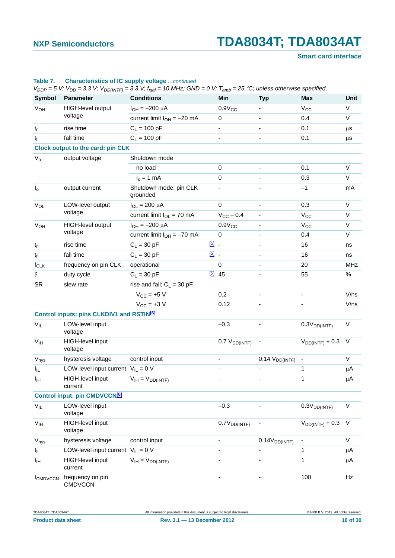### **Smart card interface**

| Symbol                     | <b>Parameter</b>                                      | <b>Conditions</b>                  |               | Min                          | <b>Typ</b>                | Max                      | Unit    |
|----------------------------|-------------------------------------------------------|------------------------------------|---------------|------------------------------|---------------------------|--------------------------|---------|
| V <sub>OH</sub>            | HIGH-level output                                     | $I_{OH} = -200 \mu A$              |               | $0.9V_{CC}$                  |                           | $V_{CC}$                 | V       |
|                            | voltage                                               | current limit $I_{OH} = -20$ mA    |               | 0                            |                           | 0.4                      | V       |
| $t_{r}$                    | rise time                                             | $C_L = 100 pF$                     |               |                              |                           | 0.1                      | μS      |
| $t_{f}$                    | fall time                                             | $C_L = 100 pF$                     |               |                              |                           | 0.1                      | $\mu$ s |
|                            | <b>Clock output to the card: pin CLK</b>              |                                    |               |                              |                           |                          |         |
| $V_{o}$                    | output voltage                                        | Shutdown mode                      |               |                              |                           |                          |         |
|                            |                                                       | no load                            |               | 0                            |                           | 0.1                      | V       |
|                            |                                                       | $I_0 = 1$ mA                       |               | 0                            |                           | 0.3                      | V       |
| $I_0$                      | output current                                        | Shutdown mode; pin CLK<br>grounded |               |                              |                           | $-1$                     | mA      |
| $V_{OL}$                   | LOW-level output                                      | $I_{OL} = 200 \mu A$               |               | $\Omega$                     |                           | 0.3                      | V       |
|                            | voltage                                               | current limit $I_{OL} = 70$ mA     |               | $V_{CC}$ - 0.4               |                           | $V_{CC}$                 | V       |
| <b>V<sub>OH</sub></b>      | HIGH-level output                                     | $I_{OH} = -200 \mu A$              |               | $0.9V_{CC}$                  |                           | $V_{CC}$                 | $\vee$  |
|                            | voltage                                               | current limit $I_{OH} = -70$ mA    |               | $\mathbf 0$                  |                           | 0.4                      | V       |
| $t_r$                      | rise time                                             | $C_L = 30$ pF                      | $\boxed{5}$ . |                              |                           | 16                       | ns      |
| $t_f$                      | fall time                                             | $C_L = 30$ pF                      | $\boxed{5}$ . |                              |                           | 16                       | ns      |
| $f_{CLK}$                  | frequency on pin CLK                                  | operational                        |               | $\mathbf 0$                  |                           | 20                       | MHz     |
| $\delta$                   | duty cycle                                            | $C_L = 30$ pF                      |               | $\boxed{5}$ 45               |                           | 55                       | $\%$    |
| <b>SR</b>                  | slew rate                                             | rise and fall; $C_L = 30$ pF       |               |                              |                           |                          |         |
|                            |                                                       | $V_{CC}$ = +5 V                    |               | 0.2                          |                           | $\overline{\phantom{a}}$ | V/ns    |
|                            |                                                       | $V_{CC}$ = +3 V                    |               | 0.12                         |                           |                          | V/ns    |
|                            | Control inputs: pins CLKDIV1 and RSTIN <sup>[6]</sup> |                                    |               |                              |                           |                          |         |
| $V_{IL}$                   | LOW-level input<br>voltage                            |                                    |               | $-0.3$                       |                           | 0.3V <sub>DD(INTF)</sub> | V       |
| V <sub>IH</sub>            | HIGH-level input<br>voltage                           |                                    |               | $0.7 V_{DD(INTF)}$           |                           | $V_{DD(INTF)} + 0.3$     | $\vee$  |
| $\rm V_{hys}$              | hysteresis voltage                                    | control input                      |               |                              | $0.14$ $V_{DD(INTER)}$    |                          | V       |
| $I_{\parallel L}$          | LOW-level input current $V_{II} = 0 V$                |                                    |               |                              |                           | 1                        | $\mu$ A |
| $I_{\rm IH}$               | <b>HIGH-level input</b><br>current                    | $V_{IH} = V_{DD(INTF)}$            |               |                              |                           | 1                        | μA      |
|                            | Control input: pin CMDVCCN6                           |                                    |               |                              |                           |                          |         |
| $\mathsf{V}_{\mathsf{IL}}$ | LOW-level input<br>voltage                            |                                    |               | $-0.3$                       |                           | 0.3V <sub>DD(INTF)</sub> | V       |
| $\mathsf{V}_{\mathsf{IH}}$ | <b>HIGH-level input</b><br>voltage                    |                                    |               | 0.7V <sub>DD(INTF)</sub>     |                           | $V_{DD(INTF)} + 0.3$     | $\vee$  |
| Vhys                       | hysteresis voltage                                    | control input                      |               | $\qquad \qquad \blacksquare$ | 0.14V <sub>DD(INTF)</sub> |                          | V       |
| $I_{IL}$                   | LOW-level input current $V_{IL} = 0 V$                |                                    |               |                              |                           | 1                        | μA      |
| Iщ                         | HIGH-level input<br>current                           | $V_{IH} = V_{DD(INTF)}$            |               |                              |                           | $\mathbf{1}$             | μA      |
| f <sub>CMDVCCN</sub>       | frequency on pin<br><b>CMDVCCN</b>                    |                                    |               |                              |                           | 100                      | Hz      |

#### **Table 7. Characteristics of IC supply voltage** *…continued*

**Product data sheet Rev. 3.1 — 13 December 2012** 18 of 30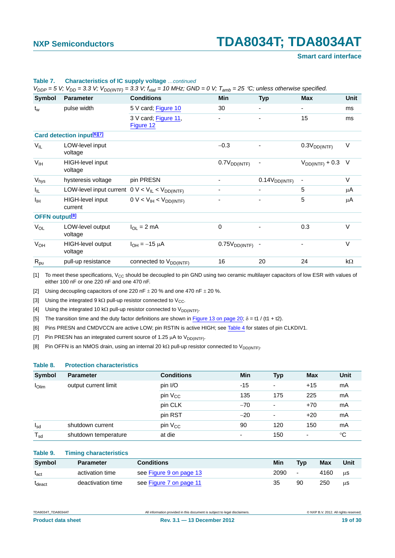#### **Smart card interface**

| Symbol                     | <b>Parameter</b>                                                                                  | <b>Conditions</b>                  | Min                      | <b>Typ</b>                | Max                      | Unit      |
|----------------------------|---------------------------------------------------------------------------------------------------|------------------------------------|--------------------------|---------------------------|--------------------------|-----------|
| $t_w$                      | pulse width                                                                                       | 5 V card; Figure 10                | 30                       | $\overline{\phantom{a}}$  | ۰.                       | ms        |
|                            |                                                                                                   | 3 V card; Figure 11,<br>Figure 12  | $\overline{\phantom{a}}$ | -                         | 15                       | ms        |
|                            | <b>Card detection input<sup>[6][7]</sup></b>                                                      |                                    |                          |                           |                          |           |
| $V_{IL}$                   | LOW-level input<br>voltage                                                                        |                                    | $-0.3$                   |                           | 0.3V <sub>DD(INTF)</sub> | V         |
| V <sub>IH</sub>            | <b>HIGH-level input</b><br>voltage                                                                |                                    | 0.7V <sub>DD(INTF)</sub> |                           | $V_{DD(INTF)} + 0.3$     | $\vee$    |
| $V_{\text{hys}}$           | hysteresis voltage                                                                                | pin PRESN                          | $\overline{\phantom{a}}$ | 0.14V <sub>DD(INTF)</sub> |                          | V         |
| I <sub>IL</sub>            | LOW-level input current $0 \vee \langle V_{\vert L} \rangle \langle V_{\vert D D ( NTF)} \rangle$ |                                    |                          |                           | 5                        | μA        |
| Iщ                         | HIGH-level input<br>current                                                                       | $0 V < V_{IH} < V_{DD(INTER)}$     |                          |                           | 5                        | μA        |
| OFFN output <sup>[8]</sup> |                                                                                                   |                                    |                          |                           |                          |           |
| $V_{OL}$                   | LOW-level output<br>voltage                                                                       | $I_{\Omega I}$ = 2 mA              | 0                        | $\overline{\phantom{0}}$  | 0.3                      | $\vee$    |
| <b>V<sub>OH</sub></b>      | HIGH-level output<br>voltage                                                                      | $I_{OH} = -15 \mu A$               | $0.75V_{DD(INTF)}$       |                           | $\overline{\phantom{0}}$ | $\vee$    |
| $R_{\text{pu}}$            | pull-up resistance                                                                                | connected to V <sub>DD(INTF)</sub> | 16                       | 20                        | 24                       | $k\Omega$ |

#### **Table 7. Characteristics of IC supply voltage** *…continued*

 $V_{DDP} = 5$  V;  $V_{DDP} = 3.3$  V;  $V_{DDP/UT} = 3.3$  V;  $f_{int} = 10$  MHz; GND = 0 V;  $T_{sub} = 25$  °C; unless otherwise specified.

<span id="page-18-1"></span>[1] To meet these specifications,  $V_{CC}$  should be decoupled to pin GND using two ceramic multilayer capacitors of low ESR with values of either 100 nF or one 220 nF and one 470 nF.

<span id="page-18-2"></span>[2] Using decoupling capacitors of one 220 nF  $\pm$  20 % and one 470 nF  $\pm$  20 %.

<span id="page-18-3"></span>[3] Using the integrated 9 k $\Omega$  pull-up resistor connected to V<sub>CC</sub>.

<span id="page-18-4"></span>[4] Using the integrated 10 k $\Omega$  pull-up resistor connected to  $V_{DD(INTF)}$ .

<span id="page-18-5"></span>[5] The transition time and the duty factor definitions are shown in [Figure 13 on page 20](#page-19-0);  $\delta$  = t1 / (t1 + t2).

<span id="page-18-6"></span>[6] Pins PRESN and CMDVCCN are active LOW; pin RSTIN is active HIGH; see [Table 4](#page-6-0) for states of pin CLKDIV1.

<span id="page-18-7"></span>[7] Pin PRESN has an integrated current source of 1.25  $\mu$ A to V<sub>DD(INTF)</sub>.

<span id="page-18-8"></span>[8] Pin OFFN is an NMOS drain, using an internal 20 k $\Omega$  pull-up resistor connected to V<sub>DD(INTF)</sub>.

#### <span id="page-18-0"></span>**Table 8. Protection characteristics**

| <b>Symbol</b> | <b>Parameter</b>     | <b>Conditions</b>   | Min                      | <b>Typ</b>               | <b>Max</b>               | Unit        |
|---------------|----------------------|---------------------|--------------------------|--------------------------|--------------------------|-------------|
| $I$ Olim      | output current limit | pin I/O             | $-15$                    | ٠                        | $+15$                    | mA          |
|               |                      | pin $V_{CC}$        | 135                      | 175                      | 225                      | mA          |
|               |                      | pin CLK             | $-70$                    | ۰                        | $+70$                    | mA          |
|               |                      | pin RST             | $-20$                    | $\overline{\phantom{0}}$ | $+20$                    | mA          |
| $I_{\rm sd}$  | shutdown current     | pin V <sub>CC</sub> | 90                       | 120                      | 150                      | mA          |
| $T_{sd}$      | shutdown temperature | at die              | $\overline{\phantom{0}}$ | 150                      | $\overline{\phantom{a}}$ | $^{\circ}C$ |

<span id="page-18-9"></span>

| Table 9. |  | <b>Timing characteristics</b> |
|----------|--|-------------------------------|

| Svmbol                      | <b>Parameter</b>  | <b>Conditions</b>       | Min  | <b>Typ</b> | Max  | Unit |
|-----------------------------|-------------------|-------------------------|------|------------|------|------|
| $\mathsf{t}_{\mathsf{act}}$ | activation time   | see Figure 9 on page 13 | 2090 | $\sim$     | 4160 | μS   |
| <sup>L</sup> deact          | deactivation time | see Figure 7 on page 11 | 35   | 90         | 250  | μS   |

| . .<br>$\sim$ $ \sim$ |
|-----------------------|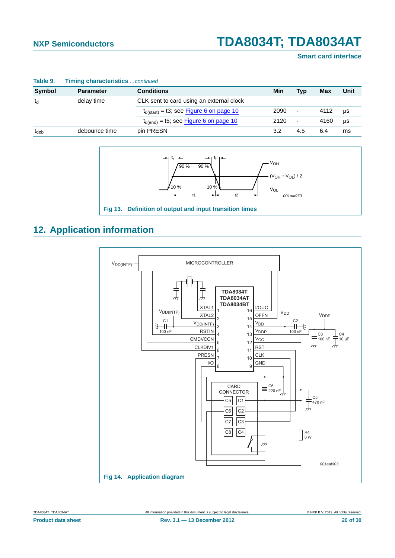#### **Smart card interface**

| Table 9.         | <b>Timing characteristics</b> continued |                                               |      |                          |      |      |
|------------------|-----------------------------------------|-----------------------------------------------|------|--------------------------|------|------|
| <b>Symbol</b>    | <b>Parameter</b>                        | <b>Conditions</b>                             | Min  | Typ                      | Max  | Unit |
| td               | delay time                              | CLK sent to card using an external clock      |      |                          |      |      |
|                  |                                         | $t_{d(start)} = t3$ ; see Figure 6 on page 10 | 2090 | $\overline{\phantom{a}}$ | 4112 | μS   |
|                  |                                         | $t_{d(end)}$ = t5; see Figure 6 on page 10    | 2120 | $\overline{\phantom{a}}$ | 4160 | μS   |
| t <sub>deb</sub> | debounce time                           | pin PRESN                                     | 3.2  | 4.5                      | 6.4  | ms   |



### <span id="page-19-2"></span>**12. Application information**

<span id="page-19-0"></span>

<span id="page-19-1"></span>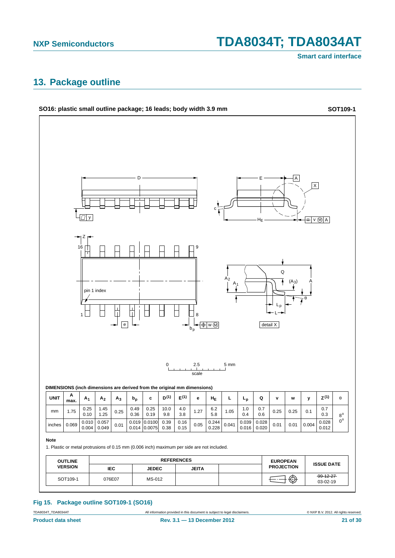**Smart card interface**

### <span id="page-20-1"></span>**13. Package outline**



### <span id="page-20-0"></span>**Fig 15. Package outline SOT109-1 (SO16)**

TDA8034AT **All information provided in this document** is subject to legal disclaimers. **CONTABAT CONTABAT CONTABAT ALL ALL RIGHTS RESERVED.**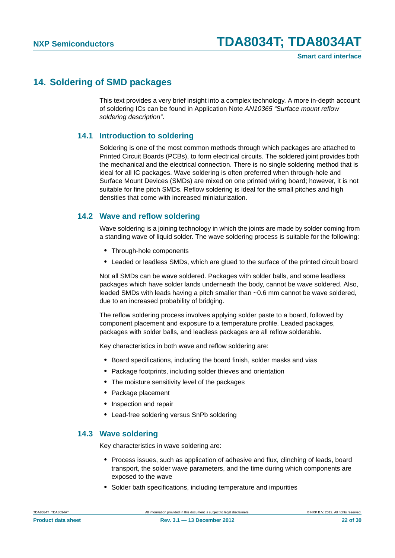### <span id="page-21-0"></span>**14. Soldering of SMD packages**

This text provides a very brief insight into a complex technology. A more in-depth account of soldering ICs can be found in Application Note *AN10365 "Surface mount reflow soldering description"*.

### <span id="page-21-1"></span>**14.1 Introduction to soldering**

Soldering is one of the most common methods through which packages are attached to Printed Circuit Boards (PCBs), to form electrical circuits. The soldered joint provides both the mechanical and the electrical connection. There is no single soldering method that is ideal for all IC packages. Wave soldering is often preferred when through-hole and Surface Mount Devices (SMDs) are mixed on one printed wiring board; however, it is not suitable for fine pitch SMDs. Reflow soldering is ideal for the small pitches and high densities that come with increased miniaturization.

### <span id="page-21-2"></span>**14.2 Wave and reflow soldering**

Wave soldering is a joining technology in which the joints are made by solder coming from a standing wave of liquid solder. The wave soldering process is suitable for the following:

- **•** Through-hole components
- **•** Leaded or leadless SMDs, which are glued to the surface of the printed circuit board

Not all SMDs can be wave soldered. Packages with solder balls, and some leadless packages which have solder lands underneath the body, cannot be wave soldered. Also, leaded SMDs with leads having a pitch smaller than ~0.6 mm cannot be wave soldered, due to an increased probability of bridging.

The reflow soldering process involves applying solder paste to a board, followed by component placement and exposure to a temperature profile. Leaded packages, packages with solder balls, and leadless packages are all reflow solderable.

Key characteristics in both wave and reflow soldering are:

- **•** Board specifications, including the board finish, solder masks and vias
- **•** Package footprints, including solder thieves and orientation
- **•** The moisture sensitivity level of the packages
- **•** Package placement
- **•** Inspection and repair
- **•** Lead-free soldering versus SnPb soldering

### <span id="page-21-3"></span>**14.3 Wave soldering**

Key characteristics in wave soldering are:

- **•** Process issues, such as application of adhesive and flux, clinching of leads, board transport, the solder wave parameters, and the time during which components are exposed to the wave
- **•** Solder bath specifications, including temperature and impurities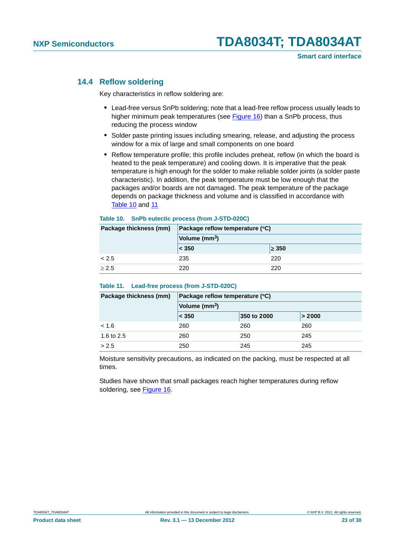### <span id="page-22-2"></span>**14.4 Reflow soldering**

Key characteristics in reflow soldering are:

- **•** Lead-free versus SnPb soldering; note that a lead-free reflow process usually leads to higher minimum peak temperatures (see Figure 16) than a SnPb process, thus reducing the process window
- **•** Solder paste printing issues including smearing, release, and adjusting the process window for a mix of large and small components on one board
- **•** Reflow temperature profile; this profile includes preheat, reflow (in which the board is heated to the peak temperature) and cooling down. It is imperative that the peak temperature is high enough for the solder to make reliable solder joints (a solder paste characteristic). In addition, the peak temperature must be low enough that the packages and/or boards are not damaged. The peak temperature of the package depends on package thickness and volume and is classified in accordance with Table 10 and 11

#### <span id="page-22-0"></span>**Table 10. SnPb eutectic process (from J-STD-020C)**

| Package thickness (mm) | Package reflow temperature (°C)<br>Volume (mm <sup>3</sup> ) |            |  |
|------------------------|--------------------------------------------------------------|------------|--|
|                        |                                                              |            |  |
|                        | < 350                                                        | $\geq 350$ |  |
| < 2.5                  | 235                                                          | 220        |  |
| > 2.5                  | 220                                                          | 220        |  |

#### <span id="page-22-1"></span>**Table 11. Lead-free process (from J-STD-020C)**

| Package thickness (mm) | Package reflow temperature (°C) |             |        |  |  |
|------------------------|---------------------------------|-------------|--------|--|--|
|                        | Volume (mm <sup>3</sup> )       |             |        |  |  |
|                        | $ $ < 350                       | 350 to 2000 | > 2000 |  |  |
| < 1.6                  | 260                             | 260         | 260    |  |  |
| 1.6 to 2.5             | 260                             | 250         | 245    |  |  |
| > 2.5                  | 250                             | 245         | 245    |  |  |

Moisture sensitivity precautions, as indicated on the packing, must be respected at all times.

Studies have shown that small packages reach higher temperatures during reflow soldering, see Figure 16.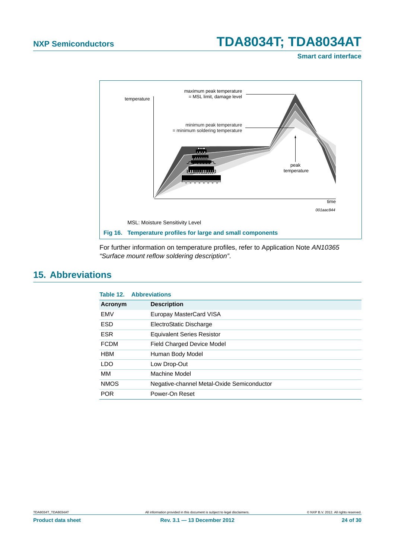**Smart card interface**



<span id="page-23-1"></span>For further information on temperature profiles, refer to Application Note *AN10365 "Surface mount reflow soldering description"*.

### <span id="page-23-2"></span>**15. Abbreviations**

<span id="page-23-0"></span>

|             | <b>Table 12. Abbreviations</b>             |
|-------------|--------------------------------------------|
| Acronym     | <b>Description</b>                         |
| <b>EMV</b>  | Europay MasterCard VISA                    |
| <b>ESD</b>  | ElectroStatic Discharge                    |
| <b>ESR</b>  | <b>Equivalent Series Resistor</b>          |
| <b>FCDM</b> | Field Charged Device Model                 |
| <b>HBM</b>  | Human Body Model                           |
| <b>LDO</b>  | Low Drop-Out                               |
| MМ          | Machine Model                              |
| <b>NMOS</b> | Negative-channel Metal-Oxide Semiconductor |
| <b>POR</b>  | Power-On Reset                             |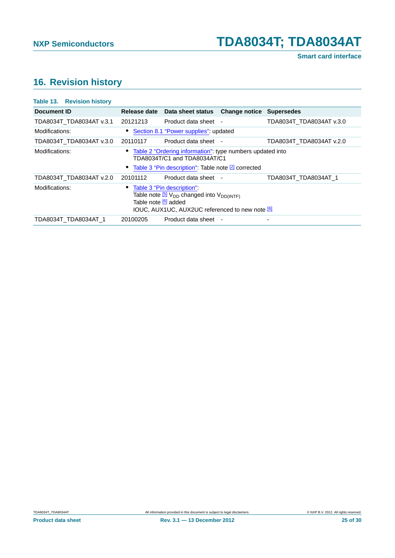## <span id="page-24-1"></span>**16. Revision history**

<span id="page-24-0"></span>

| <b>Table 13. Revision history</b> |                      |                                                                                                                                                                    |                          |
|-----------------------------------|----------------------|--------------------------------------------------------------------------------------------------------------------------------------------------------------------|--------------------------|
| Document ID                       | <b>Release date</b>  | Data sheet status Change notice Supersedes                                                                                                                         |                          |
| TDA8034T TDA8034AT v.3.1          | 20121213             | Product data sheet -                                                                                                                                               | TDA8034T_TDA8034AT v.3.0 |
| Modifications:                    |                      | • Section 8.1 "Power supplies": updated                                                                                                                            |                          |
| TDA8034T TDA8034AT v.3.0          | 20110117             | Product data sheet -                                                                                                                                               | TDA8034T TDA8034AT v.2.0 |
| Modifications:                    |                      | Table 2 "Ordering information": type numbers updated into<br>TDA8034T/C1 and TDA8034AT/C1<br>• Table 3 "Pin description": Table note 2 corrected                   |                          |
| TDA8034T TDA8034AT v.2.0          | 20101112             | Product data sheet -                                                                                                                                               | TDA8034T TDA8034AT 1     |
| Modifications:                    | Table note [6] added | Table 3 "Pin description":<br>Table note <sup>[5]</sup> V <sub>DD</sub> changed into V <sub>DD(INTF)</sub><br><b>IOUC, AUX1UC, AUX2UC referenced to new note 6</b> |                          |
| TDA8034T TDA8034AT 1              | 20100205             | Product data sheet -                                                                                                                                               |                          |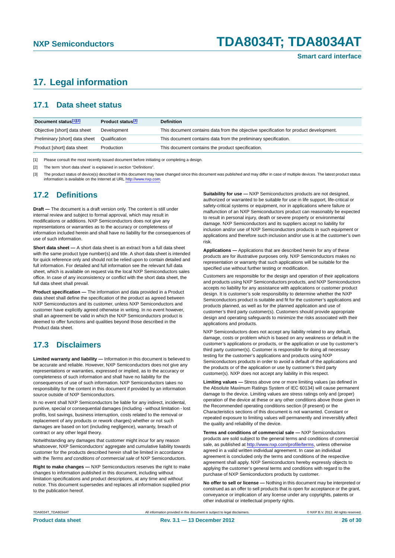### <span id="page-25-0"></span>**17. Legal information**

### <span id="page-25-1"></span>**17.1 Data sheet status**

| Document status[1][2]          | Product status <sup>[3]</sup> | <b>Definition</b>                                                                     |
|--------------------------------|-------------------------------|---------------------------------------------------------------------------------------|
| Objective [short] data sheet   | Development                   | This document contains data from the objective specification for product development. |
| Preliminary [short] data sheet | Qualification                 | This document contains data from the preliminary specification.                       |
| Product [short] data sheet     | Production                    | This document contains the product specification.                                     |

[1] Please consult the most recently issued document before initiating or completing a design.

[2] The term 'short data sheet' is explained in section "Definitions".

[3] The product status of device(s) described in this document may have changed since this document was published and may differ in case of multiple devices. The latest product status<br>information is available on the Intern

### <span id="page-25-2"></span>**17.2 Definitions**

**Draft —** The document is a draft version only. The content is still under internal review and subject to formal approval, which may result in modifications or additions. NXP Semiconductors does not give any representations or warranties as to the accuracy or completeness of information included herein and shall have no liability for the consequences of use of such information.

**Short data sheet —** A short data sheet is an extract from a full data sheet with the same product type number(s) and title. A short data sheet is intended for quick reference only and should not be relied upon to contain detailed and full information. For detailed and full information see the relevant full data sheet, which is available on request via the local NXP Semiconductors sales office. In case of any inconsistency or conflict with the short data sheet, the full data sheet shall prevail.

**Product specification —** The information and data provided in a Product data sheet shall define the specification of the product as agreed between NXP Semiconductors and its customer, unless NXP Semiconductors and customer have explicitly agreed otherwise in writing. In no event however, shall an agreement be valid in which the NXP Semiconductors product is deemed to offer functions and qualities beyond those described in the Product data sheet.

### <span id="page-25-3"></span>**17.3 Disclaimers**

**Limited warranty and liability —** Information in this document is believed to be accurate and reliable. However, NXP Semiconductors does not give any representations or warranties, expressed or implied, as to the accuracy or completeness of such information and shall have no liability for the consequences of use of such information. NXP Semiconductors takes no responsibility for the content in this document if provided by an information source outside of NXP Semiconductors.

In no event shall NXP Semiconductors be liable for any indirect, incidental, punitive, special or consequential damages (including - without limitation - lost profits, lost savings, business interruption, costs related to the removal or replacement of any products or rework charges) whether or not such damages are based on tort (including negligence), warranty, breach of contract or any other legal theory.

Notwithstanding any damages that customer might incur for any reason whatsoever, NXP Semiconductors' aggregate and cumulative liability towards customer for the products described herein shall be limited in accordance with the *Terms and conditions of commercial sale* of NXP Semiconductors.

**Right to make changes —** NXP Semiconductors reserves the right to make changes to information published in this document, including without limitation specifications and product descriptions, at any time and without notice. This document supersedes and replaces all information supplied prior to the publication hereof.

**Suitability for use —** NXP Semiconductors products are not designed, authorized or warranted to be suitable for use in life support, life-critical or safety-critical systems or equipment, nor in applications where failure or malfunction of an NXP Semiconductors product can reasonably be expected to result in personal injury, death or severe property or environmental damage. NXP Semiconductors and its suppliers accept no liability for inclusion and/or use of NXP Semiconductors products in such equipment or applications and therefore such inclusion and/or use is at the customer's own risk.

**Applications —** Applications that are described herein for any of these products are for illustrative purposes only. NXP Semiconductors makes no representation or warranty that such applications will be suitable for the specified use without further testing or modification.

Customers are responsible for the design and operation of their applications and products using NXP Semiconductors products, and NXP Semiconductors accepts no liability for any assistance with applications or customer product design. It is customer's sole responsibility to determine whether the NXP Semiconductors product is suitable and fit for the customer's applications and products planned, as well as for the planned application and use of customer's third party customer(s). Customers should provide appropriate design and operating safeguards to minimize the risks associated with their applications and products.

NXP Semiconductors does not accept any liability related to any default, damage, costs or problem which is based on any weakness or default in the customer's applications or products, or the application or use by customer's third party customer(s). Customer is responsible for doing all necessary testing for the customer's applications and products using NXP Semiconductors products in order to avoid a default of the applications and the products or of the application or use by customer's third party customer(s). NXP does not accept any liability in this respect.

**Limiting values —** Stress above one or more limiting values (as defined in the Absolute Maximum Ratings System of IEC 60134) will cause permanent damage to the device. Limiting values are stress ratings only and (proper) operation of the device at these or any other conditions above those given in the Recommended operating conditions section (if present) or the Characteristics sections of this document is not warranted. Constant or repeated exposure to limiting values will permanently and irreversibly affect the quality and reliability of the device.

**Terms and conditions of commercial sale —** NXP Semiconductors products are sold subject to the general terms and conditions of commercial sale, as published at<http://www.nxp.com/profile/terms>, unless otherwise agreed in a valid written individual agreement. In case an individual agreement is concluded only the terms and conditions of the respective agreement shall apply. NXP Semiconductors hereby expressly objects to applying the customer's general terms and conditions with regard to the purchase of NXP Semiconductors products by customer.

**No offer to sell or license —** Nothing in this document may be interpreted or construed as an offer to sell products that is open for acceptance or the grant, conveyance or implication of any license under any copyrights, patents or other industrial or intellectual property rights.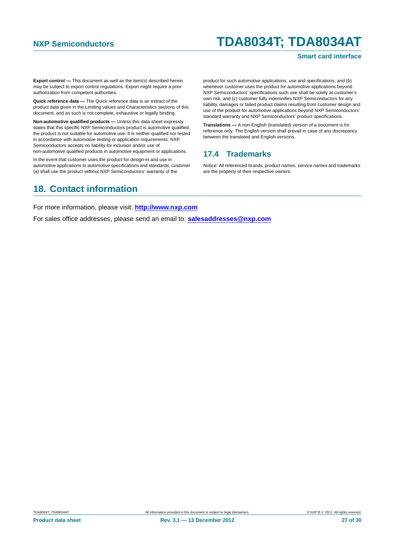#### **Smart card interface**

**Export control —** This document as well as the item(s) described herein may be subject to export control regulations. Export might require a prior authorization from competent authorities.

**Quick reference data —** The Quick reference data is an extract of the product data given in the Limiting values and Characteristics sections of this document, and as such is not complete, exhaustive or legally binding.

**Non-automotive qualified products —** Unless this data sheet expressly states that this specific NXP Semiconductors product is automotive qualified, the product is not suitable for automotive use. It is neither qualified nor tested in accordance with automotive testing or application requirements. NXP Semiconductors accepts no liability for inclusion and/or use of

non-automotive qualified products in automotive equipment or applications. In the event that customer uses the product for design-in and use in

automotive applications to automotive specifications and standards, customer (a) shall use the product without NXP Semiconductors' warranty of the

product for such automotive applications, use and specifications, and (b) whenever customer uses the product for automotive applications beyond NXP Semiconductors' specifications such use shall be solely at customer's own risk, and (c) customer fully indemnifies NXP Semiconductors for any liability, damages or failed product claims resulting from customer design and use of the product for automotive applications beyond NXP Semiconductors' standard warranty and NXP Semiconductors' product specifications.

**Translations —** A non-English (translated) version of a document is for reference only. The English version shall prevail in case of any discrepancy between the translated and English versions.

### <span id="page-26-0"></span>**17.4 Trademarks**

Notice: All referenced brands, product names, service names and trademarks are the property of their respective owners.

### <span id="page-26-1"></span>**18. Contact information**

For more information, please visit: **http://www.nxp.com**

For sales office addresses, please send an email to: **salesaddresses@nxp.com**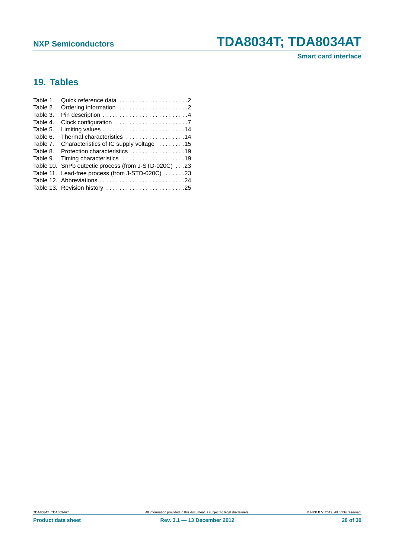### **Smart card interface**

## <span id="page-27-0"></span>**19. Tables**

| Table 1. | Quick reference data 2                                                       |
|----------|------------------------------------------------------------------------------|
| Table 2. | Ordering information 2                                                       |
| Table 3. |                                                                              |
| Table 4. | Clock configuration $\ldots \ldots \ldots \ldots \ldots \ldots$ .            |
| Table 5. | Limiting values $\ldots \ldots \ldots \ldots \ldots \ldots \ldots \ldots 14$ |
| Table 6. | Thermal characteristics 14                                                   |
| Table 7. | Characteristics of IC supply voltage 15                                      |
| Table 8. | Protection characteristics 19                                                |
| Table 9. | Timing characteristics 19                                                    |
|          | Table 10. SnPb eutectic process (from J-STD-020C)23                          |
|          | Table 11. Lead-free process (from J-STD-020C) 23                             |
|          | Table 12. Abbreviations 24                                                   |
|          | Table 13. Revision history 25                                                |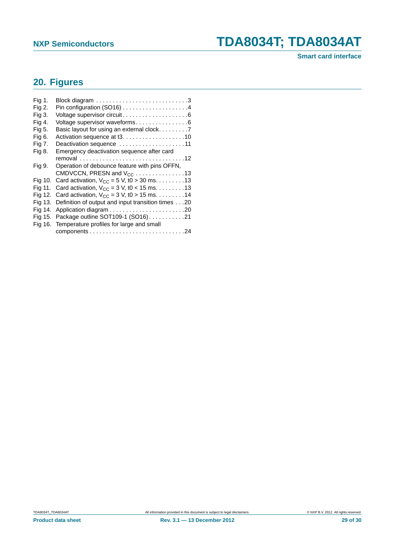## <span id="page-28-0"></span>**20. Figures**

| Fig 1.  |                                                           |
|---------|-----------------------------------------------------------|
| Fig 2.  |                                                           |
| Fig 3.  |                                                           |
| Fig 4.  | Voltage supervisor waveforms6                             |
| Fig 5.  | Basic layout for using an external clock7                 |
| Fig 6.  |                                                           |
| Fig 7.  | Deactivation sequence 11                                  |
| Fig 8.  | Emergency deactivation sequence after card                |
|         |                                                           |
| Fig 9.  | Operation of debounce feature with pins OFFN,             |
|         | CMDVCCN, PRESN and $V_{CC}$ 13                            |
|         | Fig 10. Card activation, $V_{CC} = 5 V$ , t0 > 30 ms. 13  |
| Fig 11. | Card activation, $V_{CC}$ = 3 V, t0 < 15 ms. 13           |
|         | Fig 12. Card activation, $V_{CC} = 3 V$ , t0 > 15 ms. 14  |
|         | Fig 13. Definition of output and input transition times20 |
| Fig 14. |                                                           |
|         | Fig 15. Package outline SOT109-1 (SO16)21                 |
|         | Fig 16. Temperature profiles for large and small          |
|         |                                                           |